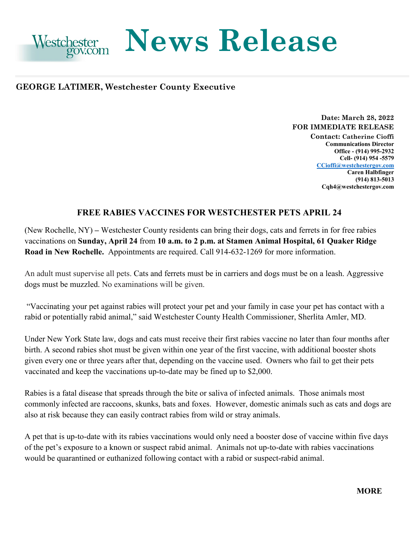

## **News Release**

# **GEORGE LATIMER, Westchester County Executive** <br>
Date: March 28, 2022

### **FOR IMMEDIATE RELEASE**

**Contact: Catherine Cioffi Communications Director Office - (914) 995-2932 Cell- (914) 954 -5579 [CCioffi@westchestergov.com](mailto:CCioffi@westchestergov.com)  Caren Halbfinger (914) 813-5013 [Cqh4@westchestergov.com](mailto:Cqh4@westchestergov.com)** 

#### **FREE RABIES VACCINES FOR WESTCHESTER PETS APRIL 24**

 (New Rochelle, NY) **–** Westchester County residents can bring their dogs, cats and ferrets in for free rabies  vaccinations on **Sunday, April 24** from **10 a.m. to 2 p.m. at Stamen Animal Hospital, 61 Quaker Ridge Road in New Rochelle.** Appointments are required. Call 914-632-1269 for more information.

An adult must supervise all pets. Cats and ferrets must be in carriers and dogs must be on a leash. Aggressive dogs must be muzzled. No examinations will be given.

 "Vaccinating your pet against rabies will protect your pet and your family in case your pet has contact with a rabid or potentially rabid animal," said Westchester County Health Commissioner, Sherlita Amler, MD.

Under New York State law, dogs and cats must receive their first rabies vaccine no later than four months after birth. A second rabies shot must be given within one year of the first vaccine, with additional booster shots given every one or three years after that, depending on the vaccine used. Owners who fail to get their pets vaccinated and keep the vaccinations up-to-date may be fined up to \$2,000.

 commonly infected are raccoons, skunks, bats and foxes. However, domestic animals such as cats and dogs are Rabies is a fatal disease that spreads through the bite or saliva of infected animals. Those animals most also at risk because they can easily contract rabies from wild or stray animals.

A pet that is up-to-date with its rabies vaccinations would only need a booster dose of vaccine within five days of the pet's exposure to a known or suspect rabid animal. Animals not up-to-date with rabies vaccinations would be quarantined or euthanized following contact with a rabid or suspect-rabid animal.

**MORE**